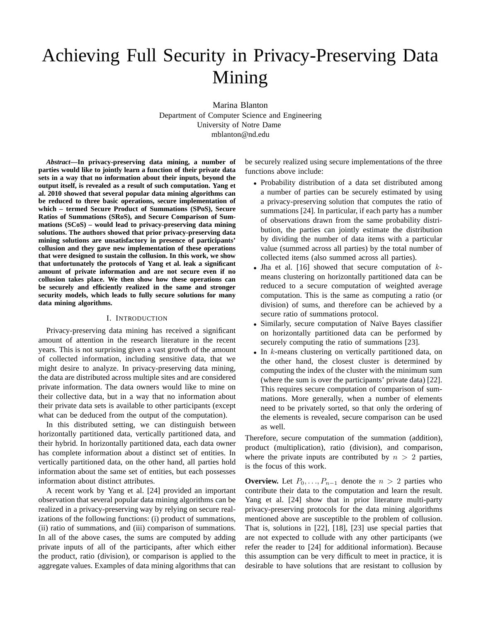# Achieving Full Security in Privacy-Preserving Data Mining

Marina Blanton Department of Computer Science and Engineering University of Notre Dame mblanton@nd.edu

*Abstract***—In privacy-preserving data mining, a number of parties would like to jointly learn a function of their private data sets in a way that no information about their inputs, beyond the output itself, is revealed as a result of such computation. Yang et al. 2010 showed that several popular data mining algorithms can be reduced to three basic operations, secure implementation of which – termed Secure Product of Summations (SPoS), Secure Ratios of Summations (SRoS), and Secure Comparison of Summations (SCoS) – would lead to privacy-preserving data mining solutions. The authors showed that prior privacy-preserving data mining solutions are unsatisfactory in presence of participants' collusion and they gave new implementation of these operations that were designed to sustain the collusion. In this work, we show that unfortunately the protocols of Yang et al. leak a significant amount of private information and are not secure even if no collusion takes place. We then show how these operations can be securely and efficiently realized in the same and stronger security models, which leads to fully secure solutions for many data mining algorithms.**

## I. INTRODUCTION

Privacy-preserving data mining has received a significant amount of attention in the research literature in the recent years. This is not surprising given a vast growth of the amount of collected information, including sensitive data, that we might desire to analyze. In privacy-preserving data mining, the data are distributed across multiple sites and are considered private information. The data owners would like to mine on their collective data, but in a way that no information about their private data sets is available to other participants (except what can be deduced from the output of the computation).

In this distributed setting, we can distinguish between horizontally partitioned data, vertically partitioned data, and their hybrid. In horizontally partitioned data, each data owner has complete information about a distinct set of entities. In vertically partitioned data, on the other hand, all parties hold information about the same set of entities, but each possesses information about distinct attributes.

A recent work by Yang et al. [24] provided an important observation that several popular data mining algorithms can be realized in a privacy-preserving way by relying on secure realizations of the following functions: (i) product of summations, (ii) ratio of summations, and (iii) comparison of summations. In all of the above cases, the sums are computed by adding private inputs of all of the participants, after which either the product, ratio (division), or comparison is applied to the aggregate values. Examples of data mining algorithms that can

be securely realized using secure implementations of the three functions above include:

- Probability distribution of a data set distributed among a number of parties can be securely estimated by using a privacy-preserving solution that computes the ratio of summations [24]. In particular, if each party has a number of observations drawn from the same probability distribution, the parties can jointly estimate the distribution by dividing the number of data items with a particular value (summed across all parties) by the total number of collected items (also summed across all parties).
- Jha et al. [16] showed that secure computation of  $k$ means clustering on horizontally partitioned data can be reduced to a secure computation of weighted average computation. This is the same as computing a ratio (or division) of sums, and therefore can be achieved by a secure ratio of summations protocol.
- Similarly, secure computation of Naïve Bayes classifier on horizontally partitioned data can be performed by securely computing the ratio of summations [23].
- In k-means clustering on vertically partitioned data, on the other hand, the closest cluster is determined by computing the index of the cluster with the minimum sum (where the sum is over the participants' private data) [22]. This requires secure computation of comparison of summations. More generally, when a number of elements need to be privately sorted, so that only the ordering of the elements is revealed, secure comparison can be used as well.

Therefore, secure computation of the summation (addition), product (multiplication), ratio (division), and comparison, where the private inputs are contributed by  $n > 2$  parties, is the focus of this work.

**Overview.** Let  $P_0, \ldots, P_{n-1}$  denote the  $n > 2$  parties who contribute their data to the computation and learn the result. Yang et al. [24] show that in prior literature multi-party privacy-preserving protocols for the data mining algorithms mentioned above are susceptible to the problem of collusion. That is, solutions in [22], [18], [23] use special parties that are not expected to collude with any other participants (we refer the reader to [24] for additional information). Because this assumption can be very difficult to meet in practice, it is desirable to have solutions that are resistant to collusion by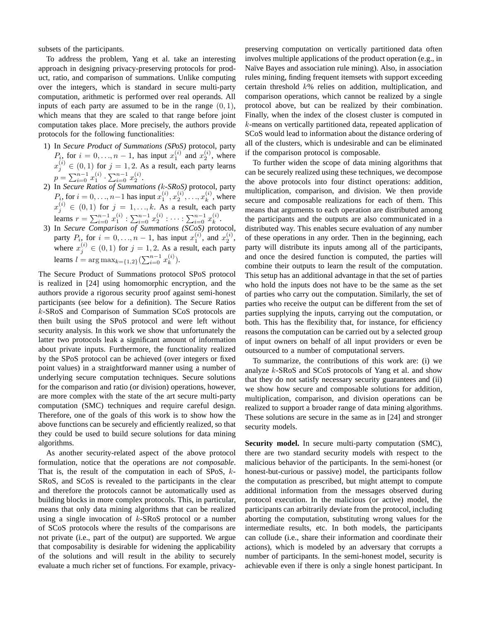subsets of the participants.

To address the problem, Yang et al. take an interesting approach in designing privacy-preserving protocols for product, ratio, and comparison of summations. Unlike computing over the integers, which is standard in secure multi-party computation, arithmetic is performed over real operands. All inputs of each party are assumed to be in the range  $(0, 1)$ , which means that they are scaled to that range before joint computation takes place. More precisely, the authors provide protocols for the following functionalities:

- 1) In *Secure Product of Summations (SPoS)* protocol, party  $P_i$ , for  $i = 0, \ldots, n - 1$ , has input  $x_1^{(i)}$  and  $x_2^{(i)}$ , where  $x_j^{(i)} \in (0,1)$  for  $j = 1,2$ . As a result, each party learns  $p = \sum_{i=0}^{n-1} x_1^{(i)} \cdot \sum_{i=0}^{n-1} x_2^{(i)}$ .
- 2) In *Secure Ratios of Summations (*k*-SRoS)* protocol, party  $P_i$ , for  $i = 0, ..., n-1$  has input  $x_1^{(i)}, x_2^{(i)}, ..., x_k^{(i)}$ , where  $1, u_2, \ldots, u_k$  $x_j^{(i)} \in (0,1)$  for  $j = 1,...,k$ . As a result, each party learns  $r = \sum_{i=0}^{n-1} x_1^{(i)} : \sum_{i=0}^{n-1} x_2^{(i)} : \cdots : \sum_{i=0}^{n-1} x_k^{(i)}$  $\frac{1}{k}$ .
- 3) In *Secure Comparison of Summations (SCoS)* protocol, party  $P_i$ , for  $i = 0, \ldots, n - 1$ , has input  $x_1^{(i)}$ , and  $x_2^{(i)}$ , where  $x_j^{(i)} \in (0,1)$  for  $j = 1,2$ . As a result, each party learns  $l = \arg \max_{k=\{1,2\}} (\sum_{i=0}^{n-1} x_k^{(i)})$ .

The Secure Product of Summations protocol SPoS protocol is realized in [24] using homomorphic encryption, and the authors provide a rigorous security proof against semi-honest participants (see below for a definition). The Secure Ratios k-SRoS and Comparison of Summation SCoS protocols are then built using the SPoS protocol and were left without security analysis. In this work we show that unfortunately the latter two protocols leak a significant amount of information about private inputs. Furthermore, the functionality realized by the SPoS protocol can be achieved (over integers or fixed point values) in a straightforward manner using a number of underlying secure computation techniques. Secure solutions for the comparison and ratio (or division) operations, however, are more complex with the state of the art secure multi-party computation (SMC) techniques and require careful design. Therefore, one of the goals of this work is to show how the above functions can be securely and efficiently realized, so that they could be used to build secure solutions for data mining algorithms.

As another security-related aspect of the above protocol formulation, notice that the operations are *not composable*. That is, the result of the computation in each of SPoS,  $k$ -SRoS, and SCoS is revealed to the participants in the clear and therefore the protocols cannot be automatically used as building blocks in more complex protocols. This, in particular, means that only data mining algorithms that can be realized using a single invocation of  $k$ -SRoS protocol or a number of SCoS protocols where the results of the comparisons are not private (i.e., part of the output) are supported. We argue that composability is desirable for widening the applicability of the solutions and will result in the ability to securely evaluate a much richer set of functions. For example, privacy-

preserving computation on vertically partitioned data often involves multiple applications of the product operation (e.g., in Naïve Bayes and association rule mining). Also, in association rules mining, finding frequent itemsets with support exceeding certain threshold k% relies on addition, multiplication, and comparison operations, which cannot be realized by a single protocol above, but can be realized by their combination. Finally, when the index of the closest cluster is computed in k-means on vertically partitioned data, repeated application of SCoS would lead to information about the distance ordering of all of the clusters, which is undesirable and can be eliminated if the comparison protocol is composable.

To further widen the scope of data mining algorithms that can be securely realized using these techniques, we decompose the above protocols into four distinct operations: addition, multiplication, comparison, and division. We then provide secure and composable realizations for each of them. This means that arguments to each operation are distributed among the participants and the outputs are also communicated in a distributed way. This enables secure evaluation of any number of these operations in any order. Then in the beginning, each party will distribute its inputs among all of the participants, and once the desired function is computed, the parties will combine their outputs to learn the result of the computation. This setup has an additional advantage in that the set of parties who hold the inputs does not have to be the same as the set of parties who carry out the computation. Similarly, the set of parties who receive the output can be different from the set of parties supplying the inputs, carrying out the computation, or both. This has the flexibility that, for instance, for efficiency reasons the computation can be carried out by a selected group of input owners on behalf of all input providers or even be outsourced to a number of computational servers.

To summarize, the contributions of this work are: (i) we analyze k-SRoS and SCoS protocols of Yang et al. and show that they do not satisfy necessary security guarantees and (ii) we show how secure and composable solutions for addition, multiplication, comparison, and division operations can be realized to support a broader range of data mining algorithms. These solutions are secure in the same as in [24] and stronger security models.

**Security model.** In secure multi-party computation (SMC), there are two standard security models with respect to the malicious behavior of the participants. In the semi-honest (or honest-but-curious or passive) model, the participants follow the computation as prescribed, but might attempt to compute additional information from the messages observed during protocol execution. In the malicious (or active) model, the participants can arbitrarily deviate from the protocol, including aborting the computation, substituting wrong values for the intermediate results, etc. In both models, the participants can collude (i.e., share their information and coordinate their actions), which is modeled by an adversary that corrupts a number of participants. In the semi-honest model, security is achievable even if there is only a single honest participant. In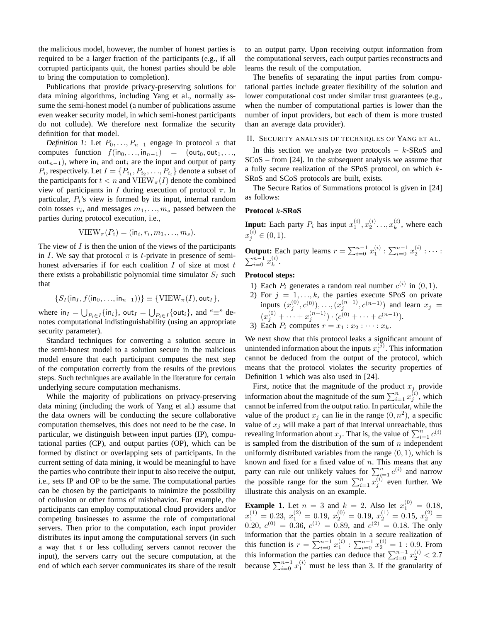the malicious model, however, the number of honest parties is required to be a larger fraction of the participants (e.g., if all corrupted participants quit, the honest parties should be able to bring the computation to completion).

Publications that provide privacy-preserving solutions for data mining algorithms, including Yang et al., normally assume the semi-honest model (a number of publications assume even weaker security model, in which semi-honest participants do not collude). We therefore next formalize the security definition for that model.

*Definition 1:* Let  $P_0, \ldots, P_{n-1}$  engage in protocol  $\pi$  that computes function  $f(in_0, \ldots, in_{n-1})$  = (out<sub>0</sub>, out<sub>1</sub>, ..., out<sub>n−1</sub>), where in<sub>i</sub> and out<sub>i</sub> are the input and output of party  $P_i$ , respectively. Let  $I = \{P_{i_1}, P_{i_2}, \ldots, P_{i_t}\}$  denote a subset of the participants for  $t < n$  and VIEW<sub> $\pi$ </sub>(*I*) denote the combined view of participants in I during execution of protocol  $\pi$ . In particular,  $P_i$ 's view is formed by its input, internal random coin tosses  $r_i$ , and messages  $m_1, \ldots, m_s$  passed between the parties during protocol execution, i.e.,

$$
VIEW_{\pi}(P_i) = (in_i, r_i, m_1, \ldots, m_s).
$$

The view of  $I$  is then the union of the views of the participants in I. We say that protocol  $\pi$  is t-private in presence of semihonest adversaries if for each coalition  $I$  of size at most  $t$ there exists a probabilistic polynomial time simulator  $S_I$  such that

$$
\{S_I(\mathsf{in}_I, f(\mathsf{in}_0, \ldots, \mathsf{in}_{n-1}))\} \equiv \{\text{VIEW}_{\pi}(I), \text{out}_I\},\
$$

where  $\text{in}_I = \bigcup_{P_i \in I} \{\text{in}_i\}$ ,  $\text{out}_I = \bigcup_{P_i \in I} \{\text{out}_i\}$ , and " $\equiv$ " denotes computational indistinguishability (using an appropriate security parameter).

Standard techniques for converting a solution secure in the semi-honest model to a solution secure in the malicious model ensure that each participant computes the next step of the computation correctly from the results of the previous steps. Such techniques are available in the literature for certain underlying secure computation mechanisms.

While the majority of publications on privacy-preserving data mining (including the work of Yang et al.) assume that the data owners will be conducting the secure collaborative computation themselves, this does not need to be the case. In particular, we distinguish between input parties (IP), computational parties (CP), and output parties (OP), which can be formed by distinct or overlapping sets of participants. In the current setting of data mining, it would be meaningful to have the parties who contribute their input to also receive the output, i.e., sets IP and OP to be the same. The computational parties can be chosen by the participants to minimize the possibility of collusion or other forms of misbehavior. For example, the participants can employ computational cloud providers and/or competing businesses to assume the role of computational servers. Then prior to the computation, each input provider distributes its input among the computational servers (in such a way that t or less colluding servers cannot recover the input), the servers carry out the secure computation, at the end of which each server communicates its share of the result

to an output party. Upon receiving output information from the computational servers, each output parties reconstructs and learns the result of the computation.

The benefits of separating the input parties from computational parties include greater flexibility of the solution and lower computational cost under similar trust guarantees (e.g., when the number of computational parties is lower than the number of input providers, but each of them is more trusted than an average data provider).

# II. SECURITY ANALYSIS OF TECHNIQUES OF YANG ET AL.

In this section we analyze two protocols  $- k$ -SRoS and SCoS – from [24]. In the subsequent analysis we assume that a fully secure realization of the SPoS protocol, on which k-SRoS and SCoS protocols are built, exists.

The Secure Ratios of Summations protocol is given in [24] as follows:

# **Protocol** k**-SRoS**

**Input:** Each party  $P_i$  has input  $x_1^{(i)}$ ,  $x_2^{(i)}$ , ...,  $x_k^{(i)}$ , where each  $x_j^{(i)} \in (0,1)$ .

**Output:** Each party learns  $r = \sum_{i=0}^{n-1} x_1^{(i)} : \sum_{i=0}^{n-1} x_2^{(i)} : \cdots$  $\sum_{i=0}^{n-1} x_k^{(i)}$ .

## **Protocol steps:**

- 1) Each  $P_i$  generates a random real number  $c^{(i)}$  in  $(0, 1)$ .
- 2) For  $j = 1, \ldots, k$ , the parties execute SPoS on private inputs  $(x_j^{(0)}, c^{(0)}), \ldots, (x_j^{(n-1)}, c^{(n-1)})$  and learn  $x_j =$  $(x_j^{(0)} + \cdots + x_j^{(n-1)}) \cdot (c^{(0)} + \cdots + c^{(n-1)}).$ 3) Each  $P_i$  computes  $r = x_1 : x_2 : \cdots : x_k$ .

We next show that this protocol leaks a significant amount of unintended information about the inputs  $x_i^{(\tilde{j})}$ . This information cannot be deduced from the output of the protocol, which means that the protocol violates the security properties of Definition 1 which was also used in [24].

First, notice that the magnitude of the product  $x_j$  provide information about the magnitude of the sum  $\sum_{i=1}^{n} x_j^{(i)}$ , which cannot be inferred from the output ratio. In particular, while the value of the product  $x_j$  can lie in the range  $(0, n^2)$ , a specific value of  $x_i$  will make a part of that interval unreachable, thus revealing information about  $x_j$ . That is, the value of  $\sum_{i=1}^n c^{(i)}$ is sampled from the distribution of the sum of  $n$  independent uniformly distributed variables from the range  $(0, 1)$ , which is known and fixed for a fixed value of  $n$ . This means that any party can rule out unlikely values for  $\sum_{i=1}^{n} c^{(i)}$  and narrow the possible range for the sum  $\sum_{i=1}^{n} x_j^{(i)}$  even further. We illustrate this analysis on an example.

**Example 1.** Let  $n = 3$  and  $k = 2$ . Also let  $x_1^{(0)} = 0.18$ ,  $x_1^{(1)} = 0.23, x_1^{(2)} = 0.19, x_2^{(0)} = 0.19, x_2^{(1)} = 0.15, x_2^{(2)} =$ 0.20,  $c^{(0)} = 0.36$ ,  $c^{(1)} = 0.89$ , and  $c^{(2)} = 0.18$ . The only information that the parties obtain in a secure realization of this function is  $r = \sum_{i=0}^{n-1} x_1^{(i)} : \sum_{i=0}^{n-1} x_2^{(i)} = 1 : 0.9$ . From this information the parties can deduce that  $\sum_{i=0}^{n-1} x_2^{(i)} < 2.7$ because  $\sum_{i=0}^{n-1} x_1^{(i)}$  must be less than 3. If the granularity of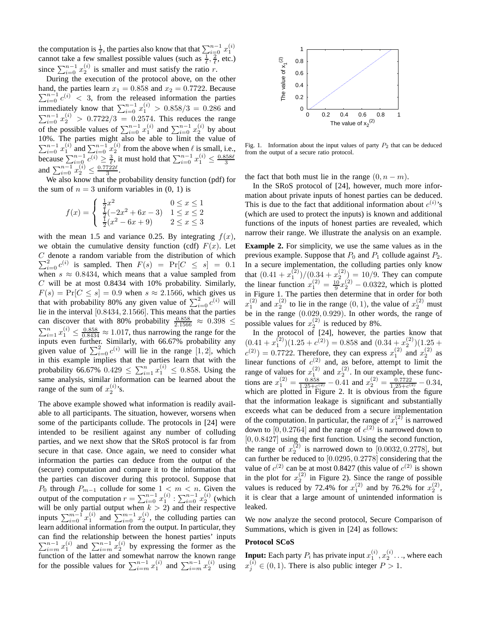the computation is  $\frac{1}{\ell}$ , the parties also know that that  $\sum_{i=0}^{n-1} x_1^{(i)}$  cannot take a few smallest possible values (such as  $\frac{1}{\ell}, \frac{2}{\ell}$ , etc.) since  $\sum_{i=0}^{n-1} x_2^{(i)}$  is smaller and must satisfy the ratio r.

During the execution of the protocol above, on the other  $\sum_{i=0}^{n-1} c^{(i)}$  < 3, from the released information the parties hand, the parties learn  $x_1 = 0.858$  and  $x_2 = 0.7722$ . Because immediately know that  $\sum_{i=0}^{n-1} x_1^{(i)} > 0.858/3 = 0.286$  and  $\sum_{i=0}^{n-1} x_2^{(i)} > 0.7722/3 = 0.2574$ . This reduces the range of the possible values of  $\sum_{i=0}^{n-1} x_1^{(i)}$  and  $\sum_{i=0}^{n-1} x_2^{(i)}$  by about 10%. The parties might also be able to limit the value of  $\sum_{i=0}^{n-1} x_1^{(i)}$  and  $\sum_{i=0}^{n-1} x_2^{(i)}$  from the above when  $\ell$  is small, i.e., because  $\sum_{i=0}^{n-1} c^{(i)} \ge \frac{3}{\ell}$ , it must hold that  $\sum_{i=0}^{n-1} x_1^{(i)} \le \frac{0.858\ell}{3}$  and  $\sum_{i=0}^{n-1} x_2^{(i)} \le \frac{0.7722\ell}{3}$ .

We also know that the probability density function (pdf) for the sum of  $n = 3$  uniform variables in  $(0, 1)$  is

$$
f(x) = \begin{cases} \frac{1}{2}x^2 & 0 \le x \le 1\\ \frac{1}{2}(-2x^2 + 6x - 3) & 1 \le x \le 2\\ \frac{1}{2}(x^2 - 6x + 9) & 2 \le x \le 3 \end{cases}
$$

with the mean 1.5 and variance 0.25. By integrating  $f(x)$ , we obtain the cumulative density function (cdf)  $F(x)$ . Let  $C$  denote a random variable from the distribution of which  $\sum_{i=0}^{2} c^{(i)}$  is sampled. Then  $F(s) = \Pr[C \le s] = 0.1$ when  $s \approx 0.8434$ , which means that a value sampled from  $C$  will be at most 0.8434 with 10% probability. Similarly,  $F(s) = Pr[C \le s] = 0.9$  when  $s \approx 2.1566$ , which gives us that with probability 80% any given value of  $\sum_{i=0}^{2} c^{(i)}$  will lie in the interval [0.8434, 2.1566]. This means that the parties can discover that with 80% probability  $\frac{0.858}{2.1566} \approx 0.398 \leq$  $\sum_{i=1}^{n} x_1^{(i)} \leq \frac{0.858}{0.8434} \approx 1.017$ , thus narrowing the range for the inputs even further. Similarly, with 66.67% probability any given value of  $\sum_{i=0}^{2} c^{(i)}$  will lie in the range [1, 2], which in this example implies that the parties learn that with the probability 66.67%  $0.429 \le \sum_{i=1}^{n} x_1^{(i)} \le 0.858$ . Using the same analysis, similar information can be learned about the range of the sum of  $x_2^{(i)}$ 's.

The above example showed what information is readily available to all participants. The situation, however, worsens when some of the participants collude. The protocols in [24] were intended to be resilient against any number of colluding parties, and we next show that the SRoS protocol is far from secure in that case. Once again, we need to consider what information the parties can deduce from the output of the (secure) computation and compare it to the information that the parties can discover during this protocol. Suppose that  $P_0$  through  $P_{m-1}$  collude for some  $1 < m < n$ . Given the output of the computation  $r = \sum_{i=0}^{n-1} x_1^{(i)} : \sum_{i=0}^{n-1} x_2^{(i)}$  (which will be only partial output when  $k > 2$ ) and their respective inputs  $\sum_{i=0}^{m-1} x_1^{(i)}$  and  $\sum_{i=0}^{m-1} x_2^{(i)}$ , the colluding parties can learn additional information from the output. In particular, they can find the relationship between the honest parties' inputs  $\sum_{i=m}^{n-1} x_1^{(i)}$  and  $\sum_{i=m}^{n-1} x_2^{(i)}$  by expressing the former as the function of the latter and somewhat narrow the known range for the possible values for  $\sum_{i=m}^{n-1} x_1^{(i)}$  and  $\sum_{i=m}^{n-1} x_2^{(i)}$  using



Fig. 1. Information about the input values of party  $P_2$  that can be deduced from the output of a secure ratio protocol.

the fact that both must lie in the range  $(0, n - m)$ .

In the SRoS protocol of [24], however, much more information about private inputs of honest parties can be deduced. This is due to the fact that additional information about  $c^{(i)}$ 's (which are used to protect the inputs) is known and additional functions of the inputs of honest parties are revealed, which narrow their range. We illustrate the analysis on an example.

**Example 2.** For simplicity, we use the same values as in the previous example. Suppose that  $P_0$  and  $P_1$  collude against  $P_2$ . In a secure implementation, the colluding parties only know that  $(0.41 + x_1^{(2)})/(0.34 + x_2^{(2)}) = 10/9$ . They can compute the linear function  $x_1^{(2)} = \frac{10}{9}x_2^{(2)} - 0.0322$ , which is plotted in Figure 1. The parties then determine that in order for both  $x_1^{(2)}$  and  $x_2^{(2)}$  to lie in the range  $(0, 1)$ , the value of  $x_2^{(2)}$  must be in the range (0.029, 0.929). In other words, the range of possible values for  $x_2^{(2)}$  is reduced by 8%.

EXIDE VANCES FOR  $x_2$  is reduced by 8%.<br>In the protocol of [24], however, the parties know that  $(0.41 + x_1^{(2)})(1.25 + c^{(2)}) = 0.858$  and  $(0.34 + x_2^{(2)})(1.25 +$  $c^{(2)}$ ) = 0.7722. Therefore, they can express  $x_1^{(2)}$  and  $x_2^{(2)}$  as linear functions of  $c^{(2)}$  and, as before, attempt to limit the range of values for  $x_1^{(2)}$  and  $x_2^{(2)}$ . In our example, these functions are  $x_1^{(2)} = \frac{0.858}{1.25 + c^{(2)}} - 0.41$  and  $x_2^{(2)} = \frac{0.7722}{1.25 + c^{(2)}} - 0.34$ , which are plotted in Figure 2. It is obvious from the figure that the information leakage is significant and substantially exceeds what can be deduced from a secure implementation of the computation. In particular, the range of  $x_1^{(2)}$  is narrowed down to [0, 0.2764] and the range of  $c^{(2)}$  is narrowed down to [0, 0.8427] using the first function. Using the second function, the range of  $x_2^{(2)}$  is narrowed down to [0.0032, 0.2778], but can further be reduced to [0.0295, 0.2778] considering that the value of  $c^{(2)}$  can be at most 0.8427 (this value of  $c^{(2)}$  is shown in the plot for  $x_2^{(2)}$  in Figure 2). Since the range of possible values is reduced by 72.4% for  $x_1^{(2)}$  and by 76.2% for  $x_2^{(2)}$ , it is clear that a large amount of unintended information is leaked.

We now analyze the second protocol, Secure Comparison of Summations, which is given in [24] as follows:

# **Protocol SCoS**

**Input:** Each party  $P_i$  has private input  $x_1^{(i)}$ ,  $x_2^{(i)}$ ..., where each  $x_j^{(i)} \in (0, 1)$ . There is also public integer  $P > 1$ .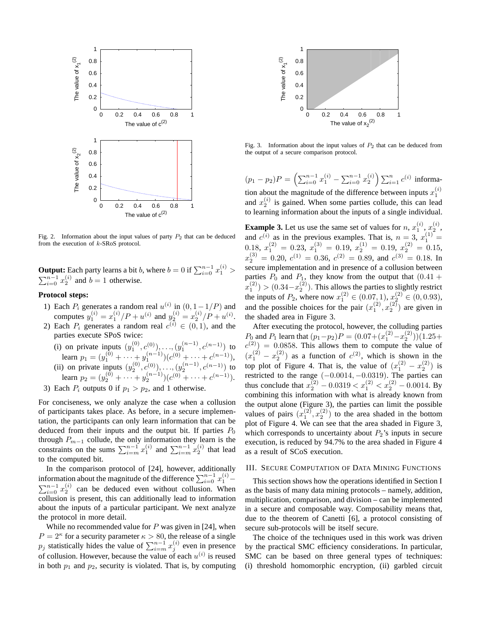

Fig. 2. Information about the input values of party  $P_2$  that can be deduced from the execution of k-SRoS protocol.

**Output:** Each party learns a bit b, where  $b = 0$  if  $\sum_{i=0}^{n-1} x_1^{(i)} > 0$  $\sum_{i=0}^{n-1} x_2^{(i)}$  and  $b=1$  otherwise.

# **Protocol steps:**

- 1) Each  $P_i$  generates a random real  $u^{(i)}$  in  $(0, 1 1/P)$  and computes  $y_1^{(i)} = x_1^{(i)}/P + u^{(i)}$  and  $y_2^{(i)} = x_2^{(i)}/P + u^{(i)}$ .
- 2) Each  $P_i$  generates a random real  $c^{(i)} \in (0,1)$ , and the parties execute SPoS twice:

(i) on private inputs  $(y_1^{(0)}, c_2^{(0)})$ , ...,  $(y_1^{(n-1)}, c_{n-1})$  to learn  $p_1 = (y_1^{(0)} + \cdots + y_1^{(n-1)})(c^{(0)} + \cdots + c^{(n-1)}),$ (ii) on private inputs  $(y_2^{(0)}, c^{(0)}), \ldots, (y_2^{(n-1)}, c^{(n-1)})$  to learn  $p_2 = (y_2^{(0)} + \cdots + y_2^{(n-1)})(c^{(0)} + \cdots + c^{(n-1)}).$ 

3) Each  $P_i$  outputs 0 if  $p_1 > p_2$ , and 1 otherwise.

For conciseness, we only analyze the case when a collusion of participants takes place. As before, in a secure implementation, the participants can only learn information that can be deduced from their inputs and the output bit. If parties  $P_0$ through  $P_{m-1}$  collude, the only information they learn is the constraints on the sums  $\sum_{i=m}^{n-1} x_1^{(i)}$  and  $\sum_{i=m}^{n-1} x_2^{(i)}$  that lead to the computed bit.

In the comparison protocol of [24], however, additionally information about the magnitude of the difference  $\sum_{i=0}^{n-1} x_1^{(i)}$  –  $\sum_{i=0}^{n-1} x_2^{(i)}$  can be deduced even without collusion. When collusion is present, this can additionally lead to information about the inputs of a particular participant. We next analyze the protocol in more detail.

While no recommended value for  $P$  was given in [24], when  $P = 2<sup>\kappa</sup>$  for a security parameter  $\kappa > 80$ , the release of a single  $p_j$  statistically hides the value of  $\sum_{i=m}^{n-1} x_j^{(i)}$  even in presence of collusion. However, because the value of each  $u^{(i)}$  is reused in both  $p_1$  and  $p_2$ , security is violated. That is, by computing



Fig. 3. Information about the input values of  $P_2$  that can be deduced from the output of a secure comparison protocol.

$$
(p_1 - p_2)P = \left(\sum_{i=0}^{n-1} x_1^{(i)} - \sum_{i=0}^{n-1} x_2^{(i)}\right) \sum_{i=1}^{n} c^{(i)}
$$
 information about the magnitude of the difference between inputs  $x_1^{(i)}$  and  $x_2^{(i)}$  is gained. When some parties collude, this can lead to learning information about the inputs of a single individual.

**Example 3.** Let us use the same set of values for n,  $x_1^{(i)}$ ,  $x_2^{(i)}$ , and  $c^{(i)}$  as in the previous examples. That is,  $n = 3$ ,  $x_1^{(1)} =$  $0.18, x_1^{(2)} = 0.23, x_1^{(3)} = 0.19, x_2^{(1)} = 0.19, x_2^{(2)} = 0.15,$  $x_2^{(3)} = 0.20, c^{(1)} = 0.36, c^{(2)} = 0.89, \text{ and } c^{(3)} = 0.18. \text{ In}$ secure implementation and in presence of a collusion between parties  $P_0$  and  $P_1$ , they know from the output that  $(0.41 +$  $(x_1^{(2)}) > (0.34 - x_2^{(2)})$ . This allows the parties to slightly restrict the inputs of  $P_2$ , where now  $x_1^{(2)} \in (0.07, 1), x_2^{(2)} \in (0, 0.93)$ , and the possible choices for the pair  $(x_1^{(2)}, x_2^{(2)})$  are given in the shaded area in Figure 3.

After executing the protocol, however, the colluding parties  $P_0$  and  $P_1$  learn that  $(p_1-p_2)P = (0.07 + (x_1^{(2)} - x_2^{(2)}))(1.25 +$  $c^{(2)}$ ) = 0.0858. This allows them to compute the value of  $(x_1^{(2)} - x_2^{(2)})$  as a function of  $c^{(2)}$ , which is shown in the top plot of Figure 4. That is, the value of  $(x_1^{(2)} - x_2^{(2)})$  is restricted to the range  $(-0.0014, -0.0319)$ . The parties can thus conclude that  $x_2^{(2)} - 0.0319 < x_1^{(2)} < x_2^{(2)} - 0.0014$ . By combining this information with what is already known from the output alone (Figure 3), the parties can limit the possible values of pairs  $(x_1^{(2)}, x_2^{(2)})$  to the area shaded in the bottom plot of Figure 4. We can see that the area shaded in Figure 3, which corresponds to uncertainty about  $P_2$ 's inputs in secure execution, is reduced by 94.7% to the area shaded in Figure 4 as a result of SCoS execution.

## III. SECURE COMPUTATION OF DATA MINING FUNCTIONS

This section shows how the operations identified in Section I as the basis of many data mining protocols – namely, addition, multiplication, comparison, and division – can be implemented in a secure and composable way. Composability means that, due to the theorem of Canetti [6], a protocol consisting of secure sub-protocols will be itself secure.

The choice of the techniques used in this work was driven by the practical SMC efficiency considerations. In particular, SMC can be based on three general types of techniques: (i) threshold homomorphic encryption, (ii) garbled circuit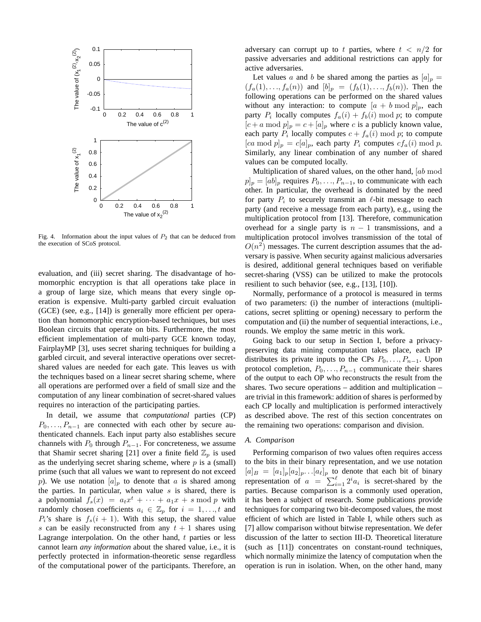

Fig. 4. Information about the input values of  $P_2$  that can be deduced from the execution of SCoS protocol.

evaluation, and (iii) secret sharing. The disadvantage of homomorphic encryption is that all operations take place in a group of large size, which means that every single operation is expensive. Multi-party garbled circuit evaluation (GCE) (see, e.g., [14]) is generally more efficient per operation than homomorphic encryption-based techniques, but uses Boolean circuits that operate on bits. Furthermore, the most efficient implementation of multi-party GCE known today, FairplayMP [3], uses secret sharing techniques for building a garbled circuit, and several interactive operations over secretshared values are needed for each gate. This leaves us with the techniques based on a linear secret sharing scheme, where all operations are performed over a field of small size and the computation of any linear combination of secret-shared values requires no interaction of the participating parties.

In detail, we assume that *computational* parties (CP)  $P_0, \ldots, P_{n-1}$  are connected with each other by secure authenticated channels. Each input party also establishes secure channels with  $P_0$  through  $P_{n-1}$ . For concreteness, we assume that Shamir secret sharing [21] over a finite field  $\mathbb{Z}_p$  is used as the underlying secret sharing scheme, where  $p$  is a (small) prime (such that all values we want to represent do not exceed p). We use notation  $[a]_p$  to denote that a is shared among the parties. In particular, when value  $s$  is shared, there is a polynomial  $f_s(x) = a_t x^t + \cdots + a_1 x + s \mod p$  with randomly chosen coefficients  $a_i \in \mathbb{Z}_p$  for  $i = 1, \ldots, t$  and  $P_i$ 's share is  $f_s(i + 1)$ . With this setup, the shared value s can be easily reconstructed from any  $t + 1$  shares using Lagrange interpolation. On the other hand,  $t$  parties or less cannot learn *any information* about the shared value, i.e., it is perfectly protected in information-theoretic sense regardless of the computational power of the participants. Therefore, an adversary can corrupt up to t parties, where  $t < n/2$  for passive adversaries and additional restrictions can apply for active adversaries.

Let values a and b be shared among the parties as  $[a]_p =$  $(f_a(1),..., f_a(n))$  and  $[b]_p = (f_b(1),..., f_b(n))$ . Then the following operations can be performed on the shared values without any interaction: to compute  $[a + b \bmod p]_p$ , each party  $P_i$  locally computes  $f_a(i) + f_b(i) \bmod p$ ; to compute  $[c + a \mod p]_p = c + [a]_p$  where c is a publicly known value, each party  $P_i$  locally computes  $c + f_a(i) \bmod p$ ; to compute [ca mod  $p|_p = c[a]_p$ , each party  $P_i$  computes  $cf_a(i)$  mod p. Similarly, any linear combination of any number of shared values can be computed locally.

Multiplication of shared values, on the other hand, [ab mod  $[p]_p = [ab]_p$  requires  $P_0, \ldots, P_{n-1}$ , to communicate with each other. In particular, the overhead is dominated by the need for party  $P_i$  to securely transmit an  $\ell$ -bit message to each party (and receive a message from each party), e.g., using the multiplication protocol from [13]. Therefore, communication overhead for a single party is  $n - 1$  transmissions, and a multiplication protocol involves transmission of the total of  $O(n^2)$  messages. The current description assumes that the adversary is passive. When security against malicious adversaries is desired, additional general techniques based on verifiable secret-sharing (VSS) can be utilized to make the protocols resilient to such behavior (see, e.g., [13], [10]).

Normally, performance of a protocol is measured in terms of two parameters: (i) the number of interactions (multiplications, secret splitting or opening) necessary to perform the computation and (ii) the number of sequential interactions, i.e., rounds. We employ the same metric in this work.

Going back to our setup in Section I, before a privacypreserving data mining computation takes place, each IP distributes its private inputs to the CPs  $P_0, \ldots, P_{n-1}$ . Upon protocol completion,  $P_0, \ldots, P_{n-1}$  communicate their shares of the output to each OP who reconstructs the result from the shares. Two secure operations – addition and multiplication – are trivial in this framework: addition of shares is performed by each CP locally and multiplication is performed interactively as described above. The rest of this section concentrates on the remaining two operations: comparison and division.

# *A. Comparison*

Performing comparison of two values often requires access to the bits in their binary representation, and we use notation  $[a]_B = [a_1]_p [a_2]_p \dots [a_\ell]_p$  to denote that each bit of binary representation of  $a = \sum_{i=1}^{\ell} 2^i a_i$  is secret-shared by the parties. Because comparison is a commonly used operation, it has been a subject of research. Some publications provide techniques for comparing two bit-decomposed values, the most efficient of which are listed in Table I, while others such as [7] allow comparison without bitwise representation. We defer discussion of the latter to section III-D. Theoretical literature (such as [11]) concentrates on constant-round techniques, which normally minimize the latency of computation when the operation is run in isolation. When, on the other hand, many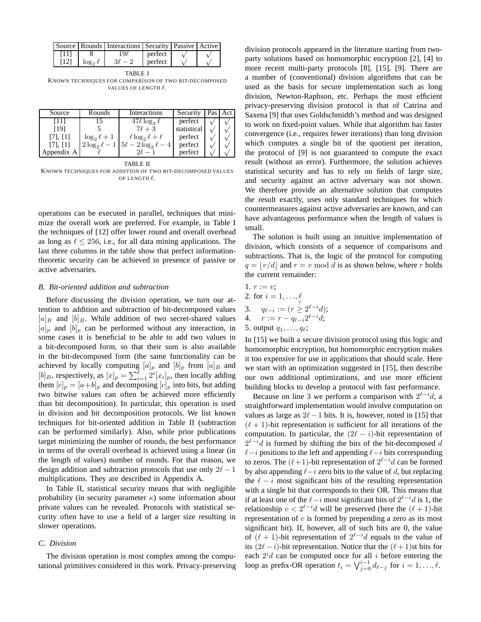|       | Source   Rounds   Interactions   Security   Passive   Active |                |  |
|-------|--------------------------------------------------------------|----------------|--|
|       |                                                              | <i>nerfect</i> |  |
| 109.1 |                                                              | perfect        |  |

TABLE I KNOWN TECHNIQUES FOR COMPARISON OF TWO BIT-DECOMPOSED VALUES OF LENGTH  $\ell$ .

| Source        | Rounds            | Interactions              | Security    | Pas Act |
|---------------|-------------------|---------------------------|-------------|---------|
| [11]          |                   | $47\ell \log_2 \ell$      | perfect     |         |
| [19]          |                   | $7\ell+3$                 | statistical |         |
| $[7]$ , $[1]$ | $\log_2 \ell + 1$ | $\ell \log_2 \ell + \ell$ | perfect     |         |
| [7], [1]      | $2\log_2\ell$ –   | $5\ell-2\log_2\ell-$      | perfect     |         |
| Appendix A    |                   |                           | perfect     |         |

TABLE II

KNOWN TECHNIQUES FOR ADDITION OF TWO BIT-DECOMPOSED VALUES OF LENGTH $\ell$ .

operations can be executed in parallel, techniques that minimize the overall work are preferred. For example, in Table I the techniques of [12] offer lower round and overall overhead as long as  $\ell \leq 256$ , i.e., for all data mining applications. The last three columns in the table show that perfect informationtheoretic security can be achieved in presence of passive or active adversaries.

## *B. Bit-oriented addition and subtraction*

Before discussing the division operation, we turn our attention to addition and subtraction of bit-decomposed values  $[a]_B$  and  $[b]_B$ . While addition of two secret-shared values  $[a]_p$  and  $[b]_p$  can be performed without any interaction, in some cases it is beneficial to be able to add two values in a bit-decomposed form, so that their sum is also available in the bit-decomposed form (the same functionality can be achieved by locally computing  $[a]_p$  and  $[b]_p$  from  $[a]_B$  and [b]<sub>B</sub>, respectively, as  $[x]_p = \sum_{i=1}^{\ell} 2^i [x_i]_p$ , then locally adding them  $[c]_p = [a+b]_p$  and decomposing  $[c]_p$  into bits, but adding two bitwise values can often be achieved more efficiently than bit decomposition). In particular, this operation is used in division and bit decomposition protocols. We list known techniques for bit-oriented addition in Table II (subtraction can be performed similarly). Also, while prior publications target minimizing the number of rounds, the best performance in terms of the overall overhead is achieved using a linear (in the length of values) number of rounds. For that reason, we design addition and subtraction protocols that use only  $2\ell-1$ multiplications. They are described in Appendix A.

In Table II, statistical security means that with negligible probability (in security parameter  $\kappa$ ) some information about private values can be revealed. Protocols with statistical security often have to use a field of a larger size resulting in slower operations.

# *C. Division*

The division operation is most complex among the computational primitives considered in this work. Privacy-preserving

division protocols appeared in the literature starting from twoparty solutions based on homomorphic encryption [2], [4] to more recent multi-party protocols [8], [15], [9]. There are a number of (conventional) division algorithms that can be used as the basis for secure implementation such as long division, Newton-Raphson, etc. Perhaps the most efficient privacy-preserving division protocol is that of Catrina and Saxena [9] that uses Goldschmidth's method and was designed to work on fixed-point values. While that algorithm has faster convergence (i.e., requires fewer iterations) than long division which computes a single bit of the quotient per iteration, the protocol of [9] is not guaranteed to compute the exact result (without an error). Furthermore, the solution achieves statistical security and has to rely on fields of large size, and security against an active adversary was not shown. We therefore provide an alternative solution that computes the result exactly, uses only standard techniques for which countermeasures against active adversaries are known, and can have advantageous performance when the length of values is small.

The solution is built using an intuitive implementation of division, which consists of a sequence of comparisons and subtractions. That is, the logic of the protocol for computing  $q = |v/d|$  and  $r = v \mod d$  is as shown below, where r holds the current remainder:

1.  $r := v$ : 2. for  $i = 1, \ldots, \ell$ 3.  $q_{\ell-i} := (r \overset{?}{\ge} 2^{\ell-i}d);$ 4.  $r := r - q_{\ell-i} 2^{\ell-i} d;$ 5. output  $q_1, \ldots, q_\ell;$ 

In [15] we built a secure division protocol using this logic and homomorphic encryption, but homomorphic encryption makes it too expensive for use in applications that should scale. Here we start with an optimization suggested in [15], then describe our own additional optimizations, and use more efficient building blocks to develop a protocol with fast performance.

Because on line 3 we perform a comparison with  $2^{\ell-i}d$ , a straightforward implementation would involve computation on values as large as  $2\ell-1$  bits. It is, however, noted in [15] that  $(\ell + 1)$ -bit representation is sufficient for all iterations of the computation. In particular, the  $(2\ell - i)$ -bit representation of  $2^{\ell-i}d$  is formed by shifting the bits of the bit-decomposed d  $\ell-i$  positions to the left and appending  $\ell-i$  bits corresponding to zeros. The  $(\ell+1)$ -bit representation of  $2^{\ell-i}d$  can be formed by also appending  $\ell-i$  zero bits to the value of d, but replacing the  $\ell - i$  most significant bits of the resulting representation with a single bit that corresponds to their OR. This means that if at least one of the  $\ell - i$  most significant bits of  $2^{\ell - i}d$  is 1, the relationship  $v < 2^{\ell-i}d$  will be preserved (here the  $(\ell + 1)$ -bit representation of  $v$  is formed by prepending a zero as its most significant bit). If, however, all of such bits are 0, the value of  $(\ell + 1)$ -bit representation of  $2^{\ell-i}d$  equals to the value of its  $(2\ell - i)$ -bit representation. Notice that the  $(\ell + 1)$ st bits for each  $2^{i}d$  can be computed once for all i before entering the loop as prefix-OR operation  $t_i = \bigvee_{j=0}^{i-1} d_{\ell-j}$  for  $i = 1, ..., \ell$ .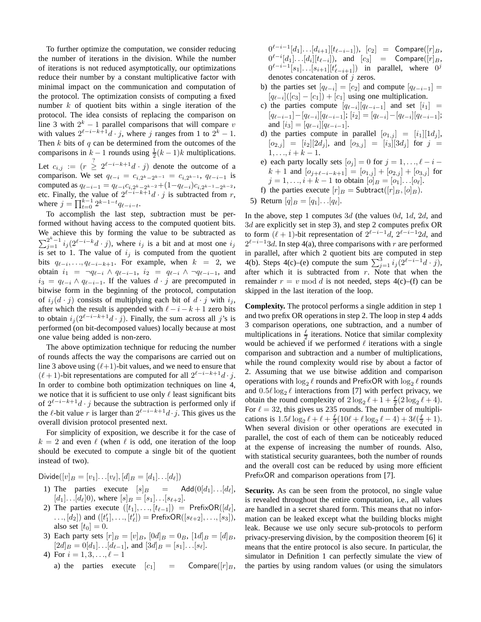To further optimize the computation, we consider reducing the number of iterations in the division. While the number of iterations is not reduced asymptotically, our optimizations reduce their number by a constant multiplicative factor with minimal impact on the communication and computation of the protocol. The optimization consists of computing a fixed number  $k$  of quotient bits within a single iteration of the protocol. The idea consists of replacing the comparison on line 3 with  $2^k - 1$  parallel comparisons that will compare v with values  $2^{\ell-i-k+1}d \cdot j$ , where j ranges from 1 to  $2^k - 1$ . Then  $k$  bits of  $q$  can be determined from the outcomes of the comparisons in  $k-1$  rounds using  $\frac{1}{2}(k-1)k$  multiplications. Let  $c_{i,j} := (r \geq 2^{\ell-i-k+1}d \cdot j)$  denote the outcome of a comparison. We set  $q_{\ell-i} = c_{i,2^k-2^{k-1}} = c_{i,2^{k-1}}, q_{\ell-i-1}$  is computed as  $q_{\ell-i-1} = q_{\ell-i}c_{i,2^k-2^k-2}+(1-q_{\ell-i})c_{i,2^{k-1}-2^{k-2}},$ etc. Finally, the value of  $2^{\ell-i-k+1}d \cdot j$  is subtracted from r, where  $j = \prod_{t=0}^{k-1} 2^{k-1-t} q_{\ell-i-t}$ .

To accomplish the last step, subtraction must be performed without having access to the computed quotient bits. We achieve this by forming the value to be subtracted as  $\sum_{j=1}^{2^k-1} i_j (2^{\ell-i-k}d \cdot j)$ , where  $i_j$  is a bit and at most one  $i_j$ is set to 1. The value of  $i_j$  is computed from the quotient bits  $q_{\ell-i}, \ldots, q_{\ell-i-k+1}$ . For example, when  $k = 2$ , we obtain  $i_1 = \neg q_{\ell-i} \wedge q_{\ell-i-1}, i_2 = q_{\ell-i} \wedge \neg q_{\ell-i-1},$  and  $i_3 = q_{\ell-i} \wedge q_{\ell-i-1}$ . If the values  $d \cdot j$  are precomputed in bitwise form in the beginning of the protocol, computation of  $i_j(d \cdot j)$  consists of multiplying each bit of  $d \cdot j$  with  $i_j$ , after which the result is appended with  $\ell - i - k + 1$  zero bits to obtain  $i_j(2^{\ell-i-k+1}d \cdot j)$ . Finally, the sum across all j's is performed (on bit-decomposed values) locally because at most one value being added is non-zero.

The above optimization technique for reducing the number of rounds affects the way the comparisons are carried out on line 3 above using  $(\ell+1)$ -bit values, and we need to ensure that  $(\ell+1)$ -bit representations are computed for all  $2^{\ell-i-k+1}d \cdot j$ . In order to combine both optimization techniques on line 4, we notice that it is sufficient to use only  $\ell$  least significant bits of  $2^{\ell-i-k+1}d \cdot j$  because the subtraction is performed only if the  $\ell$ -bit value r is larger than  $2^{\ell-i-k+1}d \cdot j$ . This gives us the overall division protocol presented next.

For simplicity of exposition, we describe it for the case of  $k = 2$  and even  $\ell$  (when  $\ell$  is odd, one iteration of the loop should be executed to compute a single bit of the quotient instead of two).

Divide( $[v]_B = [v_1] \dots [v_\ell], [d]_B = [d_1] \dots [d_\ell]$ )

- 1) The parties execute  $[s]_B$  = Add $(0[d_1] \dots [d_\ell])$  $[d_1] \dots [d_\ell]0$ , where  $[s]_B = [s_1] \dots [s_{\ell+2}]$ .
- 2) The parties execute  $([t_1], \ldots, [t_{\ell-1}])$  = PrefixOR $([d_\ell],$ ...,  $[d_2]$ ) and  $([t'_1],...,[t'_{\ell}]) =$  PrefixOR( $[s_{\ell+2}],...,[s_3]$ ), also set  $[t_0] = 0$ .
- 3) Each party sets  $[r]_B = [v]_B$ ,  $[0d]_B = 0_B$ ,  $[1d]_B = [d]_B$ ,  $[2d]_B = 0[d_1] \dots [d_{\ell-1}],$  and  $[3d]_B = [s_1] \dots [s_\ell].$ 4) For  $i = 1, 3, \ldots, \ell - 1$ 
	- a) the parties execute  $[c_1]$  = Compare( $[r]_B$ ,

 $0^{\ell-i-1}[d_1] \ldots [d_{i+1}][t_{\ell-i-1}]), \ \ [c_2] \ \ = \ \ \ \mathsf{Compare}([r]_B,$  $0^{\ell-i}[d_1] \ldots [d_i][t_{\ell-i}]),$  and  $[c_3]$  =  $\mathsf{Compare}([r]_B,$  $0^{\ell-i-1}[s_1]\dots[s_{i+1}][t'_{\ell-i+1}]$  in parallel, where  $0^j$ denotes concatenation of  $j$  zeros.

- b) the parties set  $[q_{\ell-i}] = [c_2]$  and compute  $[q_{\ell-i-1}] =$  $[q_{\ell-i}]([c_3] - [c_1]) + [c_1]$  using one multiplication.
- c) the parties compute  $[q_{\ell-i}][q_{\ell-i-1}]$  and set  $[i_1] =$  $[q_{\ell-i-1}]-[q_{\ell-i}][q_{\ell-i-1}]; [i_2] = [q_{\ell-i}]-[q_{\ell-i}][q_{\ell-i-1}];$ and  $[i_3] = [q_{\ell-i}][q_{\ell-i-1}].$
- d) the parties compute in parallel  $[o_{1,j}] = [i_1][1d_j]$ ,  $[o_{2,j}] = [i_2][2d_j]$ , and  $[o_{3,j}] = [i_3][3d_j]$  for  $j =$  $1, \ldots, i + k - 1.$
- e) each party locally sets  $[o_j] = 0$  for  $j = 1, \ldots, \ell i j$  $k + 1$  and  $[o_{j+\ell-i-k+1}] = [o_{1,j}] + [o_{2,j}] + [o_{3,j}]$  for  $j = 1, ..., i + k - 1$  to obtain  $[o]_B = [o_1] ... [o_\ell].$
- f) the parties execute  $[r]_B =$  Subtract( $[r]_B$ ,  $[o]_B$ ).
- 5) Return  $|q|_B = |q_1| \dots |q_\ell|$ .

In the above, step 1 computes 3d (the values 0d, 1d, 2d, and 3d are explicitly set in step 3), and step 2 computes prefix OR to form  $(\ell + 1)$ -bit representation of  $2^{\ell-i-1}d$ ,  $2^{\ell-i-1}2d$ , and  $2^{\ell-i-1}3d$ . In step 4(a), three comparisons with r are performed in parallel, after which 2 quotient bits are computed in step 4(b). Steps 4(c)–(e) compute the sum  $\sum_{j=1}^{3} i_j (2^{\ell-i-1}d \cdot j)$ , after which it is subtracted from  $r$ . Note that when the remainder  $r = v \mod d$  is not needed, steps 4(c)–(f) can be skipped in the last iteration of the loop.

**Complexity.** The protocol performs a single addition in step 1 and two prefix OR operations in step 2. The loop in step 4 adds 3 comparison operations, one subtraction, and a number of multiplications in  $\frac{\ell}{2}$  iterations. Notice that similar complexity would be achieved if we performed  $\ell$  iterations with a single comparison and subtraction and a number of multiplications, while the round complexity would rise by about a factor of 2. Assuming that we use bitwise addition and comparison operations with  $\log_2 \ell$  rounds and PrefixOR with  $\log_2 \ell$  rounds and  $0.5\ell \log_2 \ell$  interactions from [7] with perfect privacy, we obtain the round complexity of  $2\log_2\ell + 1 + \frac{\ell}{2}(2\log_2\ell + 4)$ . For  $\ell = 32$ , this gives us 235 rounds. The number of multiplications is  $1.5\ell \log_2 \ell + \ell + \frac{\ell}{2}(10\ell + \ell \log_2 \ell - 4) + 3\ell(\frac{\ell}{2} + 1).$ When several division or other operations are executed in parallel, the cost of each of them can be noticeably reduced at the expense of increasing the number of rounds. Also, with statistical security guarantees, both the number of rounds and the overall cost can be reduced by using more efficient PrefixOR and comparison operations from [7].

**Security.** As can be seen from the protocol, no single value is revealed throughout the entire computation, i.e., all values are handled in a secret shared form. This means that no information can be leaked except what the building blocks might leak. Because we use only secure sub-protocols to perform privacy-preserving division, by the composition theorem [6] it means that the entire protocol is also secure. In particular, the simulator in Definition 1 can perfectly simulate the view of the parties by using random values (or using the simulators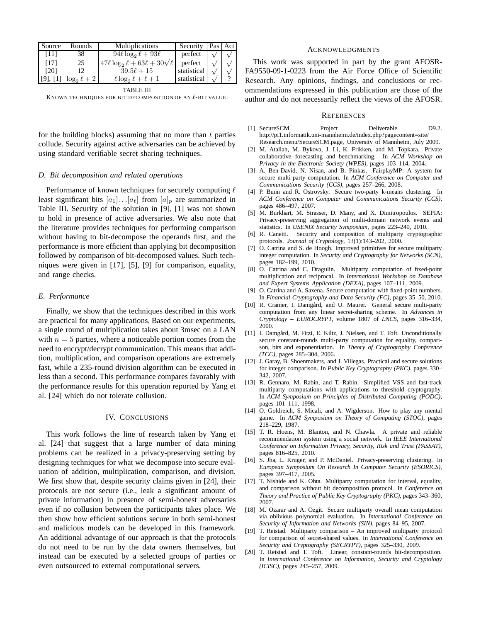| <b>Source</b> | Rounds            | <b>Multiplications</b>                        | Security    | Pas Act |  |
|---------------|-------------------|-----------------------------------------------|-------------|---------|--|
| 1111          | 38                | $94\ell \log_2 \ell + 93\ell$                 | perfect     |         |  |
| [17]          | 25                | $47\ell \log_2 \ell + 63\ell + 30\sqrt{\ell}$ | perfect     |         |  |
| [20]          |                   | $39.5\ell + 15$                               | statistical |         |  |
|               | $\log_2 \ell + 2$ | $\ell \log_2 \ell + \ell + 1$                 | statistical |         |  |

TABLE III KNOWN TECHNIQUES FOR BIT DECOMPOSITION OF AN  $\ell$ -BIT VALUE.

for the building blocks) assuming that no more than  $t$  parties collude. Security against active adversaries can be achieved by using standard verifiable secret sharing techniques.

#### *D. Bit decomposition and related operations*

Performance of known techniques for securely computing  $\ell$ least significant bits  $[a_1] \dots [a_\ell]$  from  $[a]_p$  are summarized in Table III. Security of the solution in [9], [1] was not shown to hold in presence of active adversaries. We also note that the literature provides techniques for performing comparison without having to bit-decompose the operands first, and the performance is more efficient than applying bit decomposition followed by comparison of bit-decomposed values. Such techniques were given in [17], [5], [9] for comparison, equality, and range checks.

#### *E. Performance*

Finally, we show that the techniques described in this work are practical for many applications. Based on our experiments, a single round of multiplication takes about 3msec on a LAN with  $n = 5$  parties, where a noticeable portion comes from the need to encrypt/decrypt communication. This means that addition, multiplication, and comparison operations are extremely fast, while a 235-round division algorithm can be executed in less than a second. This performance compares favorably with the performance results for this operation reported by Yang et al. [24] which do not tolerate collusion.

## IV. CONCLUSIONS

This work follows the line of research taken by Yang et al. [24] that suggest that a large number of data mining problems can be realized in a privacy-preserving setting by designing techniques for what we decompose into secure evaluation of addition, multiplication, comparison, and division. We first show that, despite security claims given in [24], their protocols are not secure (i.e., leak a significant amount of private information) in presence of semi-honest adversaries even if no collusion between the participants takes place. We then show how efficient solutions secure in both semi-honest and malicious models can be developed in this framework. An additional advantage of our approach is that the protocols do not need to be run by the data owners themselves, but instead can be executed by a selected groups of parties or even outsourced to external computational servers.

# ACKNOWLEDGMENTS

This work was supported in part by the grant AFOSR-FA9550-09-1-0223 from the Air Force Office of Scientific Research. Any opinions, findings, and conclusions or recommendations expressed in this publication are those of the author and do not necessarily reflect the views of the AFOSR.

#### **REFERENCES**

- [1] SecureSCM Project Deliverable D9.2. http://pi1.informatik.uni-mannheim.de/index.php?pagecontent=site/ Research.menu/SecureSCM.page, University of Mannheim, July 2009.
- [2] M. Atallah, M. Bykova, J. Li, K. Frikken, and M. Topkara. Private collaborative forecasting and benchmarking. In *ACM Workshop on Privacy in the Electronic Society (WPES)*, pages 103–114, 2004.
- [3] A. Ben-David, N. Nisan, and B. Pinkas. FairplayMP: A system for secure multi-party computation. In *ACM Conference on Computer and Communications Security (CCS)*, pages 257–266, 2008.
- [4] P. Bunn and R. Ostrovsky. Secure two-party k-means clustering. In *ACM Conference on Computer and Communications Security (CCS)*, pages 486–497, 2007.
- [5] M. Burkhart, M. Strasser, D. Many, and X. Dimitropoulos. SEPIA: Privacy-preserving aggregation of multi-domain network events and statistics. In *USENIX Security Symposium*, pages 223–240, 2010.
- [6] R. Canetti. Security and composition of multiparty cryptographic protocols. *Journal of Cryptology*, 13(1):143–202, 2000.
- [7] O. Catrina and S. de Hoogh. Improved primitives for secure multiparty integer computation. In *Security and Cryptography for Networks (SCN)*, pages 182–199, 2010.
- [8] O. Catrina and C. Dragulin. Multiparty computation of fixed-point multiplication and reciprocal. In *International Workshop on Database and Expert Systems Application (DEXA)*, pages 107–111, 2009.
- [9] O. Catrina and A. Saxena. Secure computation with fixed-point numbers. In *Financial Cryptography and Data Security (FC)*, pages 35–50, 2010.
- [10] R. Cramer, I. Damgård, and U. Maurer. General secure multi-party computation from any linear secret-sharing scheme. In *Advances in Cryptology – EUROCRYPT*, volume 1807 of *LNCS*, pages 316–334, 2000.
- [11] I. Damgård, M. Fitzi, E. Kiltz, J. Nielsen, and T. Toft. Unconditionally secure constant-rounds multi-party computation for equality, comparison, bits and exponentiation. In *Theory of Cryptography Conference (TCC)*, pages 285–304, 2006.
- [12] J. Garay, B. Shoenmakers, and J. Villegas. Practical and secure solutions for integer comparison. In *Public Key Cryptography (PKC)*, pages 330– 342, 2007.
- [13] R. Gennaro, M. Rabin, and T. Rabin. Simplified VSS and fast-track multiparty computations with applications to threshold cryptography. In *ACM Symposium on Principles of Distributed Computing (PODC)*, pages 101–111, 1998.
- [14] O. Goldreich, S. Micali, and A. Wigderson. How to play any mental game. In *ACM Symposium on Theory of Computing (STOC)*, pages 218–229, 1987.
- [15] T. R. Hoens, M. Blanton, and N. Chawla. A private and reliable recommendation system using a social network. In *IEEE International Conference on Information Privacy, Security, Risk and Trust (PASSAT)*, pages 816–825, 2010.
- [16] S. Jha, L. Kruger, and P. McDaniel. Privacy-preserving clustering. In *European Symposium On Research In Computer Security (ESORICS)*, pages 397–417, 2005.
- [17] T. Nishide and K. Ohta. Multiparty computation for interval, equality, and comparison without bit decomposition protocol. In *Conference on Theory and Practice of Public Key Cryptography (PKC)*, pages 343–360, 2007.
- [18] M. Ozarar and A. Ozgit. Secure multiparty overall mean computation via oblivious polynomial evaluation. In *International Conference on Security of Information and Networks (SIN)*, pages 84–95, 2007.
- [19] T. Reistad. Multiparty comparison An improved multiparty protocol for comparison of secret-shared values. In *International Conference on Security and Cryptography (SECRYPT)*, pages 325–330, 2009.
- [20] T. Reistad and T. Toft. Linear, constant-rounds bit-decomposition. In *International Conference on Information, Security and Cryptology (ICISC)*, pages 245–257, 2009.